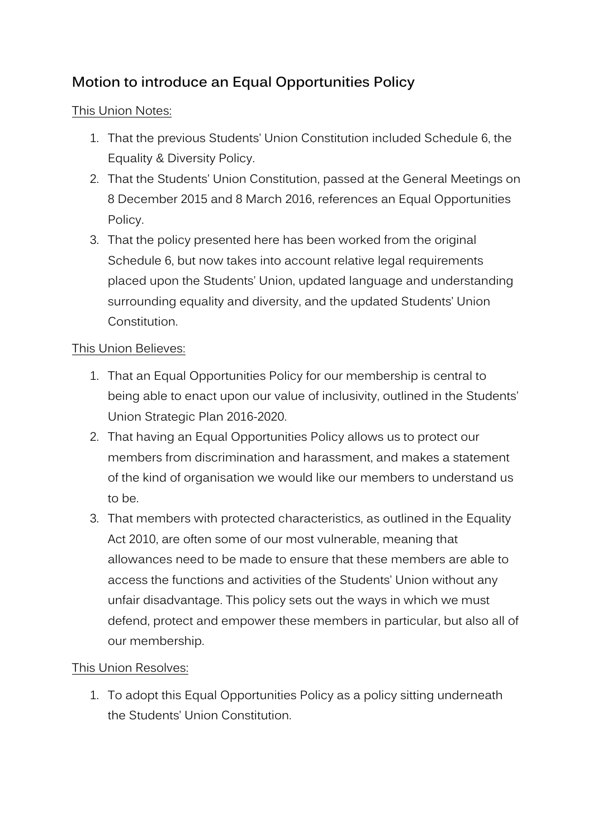## **Motion to introduce an Equal Opportunities Policy**

## This Union Notes:

- 1. That the previous Students' Union Constitution included Schedule 6, the Equality & Diversity Policy.
- 2. That the Students' Union Constitution, passed at the General Meetings on 8 December 2015 and 8 March 2016, references an Equal Opportunities Policy.
- 3. That the policy presented here has been worked from the original Schedule 6, but now takes into account relative legal requirements placed upon the Students' Union, updated language and understanding surrounding equality and diversity, and the updated Students' Union Constitution.

## This Union Believes:

- 1. That an Equal Opportunities Policy for our membership is central to being able to enact upon our value of inclusivity, outlined in the Students' Union Strategic Plan 2016-2020.
- 2. That having an Equal Opportunities Policy allows us to protect our members from discrimination and harassment, and makes a statement of the kind of organisation we would like our members to understand us to be.
- 3. That members with protected characteristics, as outlined in the Equality Act 2010, are often some of our most vulnerable, meaning that allowances need to be made to ensure that these members are able to access the functions and activities of the Students' Union without any unfair disadvantage. This policy sets out the ways in which we must defend, protect and empower these members in particular, but also all of our membership.

## This Union Resolves:

1. To adopt this Equal Opportunities Policy as a policy sitting underneath the Students' Union Constitution.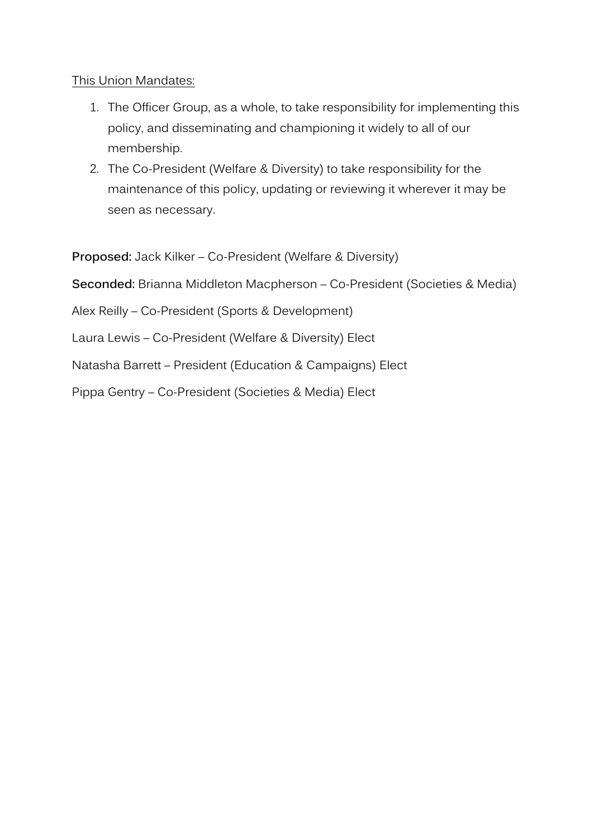This Union Mandates:

- 1. The Officer Group, as a whole, to take responsibility for implementing this policy, and disseminating and championing it widely to all of our membership.
- 2. The Co-President (Welfare & Diversity) to take responsibility for the maintenance of this policy, updating or reviewing it wherever it may be seen as necessary.

**Proposed:** Jack Kilker – Co-President (Welfare & Diversity)

**Seconded:** Brianna Middleton Macpherson – Co-President (Societies & Media)

Alex Reilly – Co-President (Sports & Development)

Laura Lewis – Co-President (Welfare & Diversity) Elect

Natasha Barrett – President (Education & Campaigns) Elect

Pippa Gentry – Co-President (Societies & Media) Elect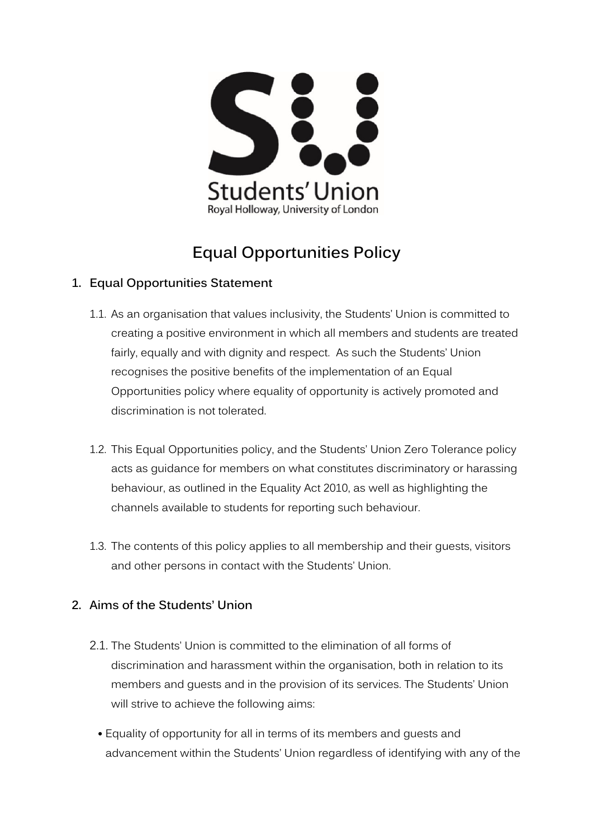

# **Equal Opportunities Policy**

## **1. Equal Opportunities Statement**

- 1.1. As an organisation that values inclusivity, the Students' Union is committed to creating a positive environment in which all members and students are treated fairly, equally and with dignity and respect. As such the Students' Union recognises the positive benefits of the implementation of an Equal Opportunities policy where equality of opportunity is actively promoted and discrimination is not tolerated.
- 1.2. This Equal Opportunities policy, and the Students' Union Zero Tolerance policy acts as guidance for members on what constitutes discriminatory or harassing behaviour, as outlined in the Equality Act 2010, as well as highlighting the channels available to students for reporting such behaviour.
- 1.3. The contents of this policy applies to all membership and their guests, visitors and other persons in contact with the Students' Union.

## **2. Aims of the Students' Union**

- 2.1. The Students' Union is committed to the elimination of all forms of discrimination and harassment within the organisation, both in relation to its members and guests and in the provision of its services. The Students' Union will strive to achieve the following aims:
	- Equality of opportunity for all in terms of its members and guests and advancement within the Students' Union regardless of identifying with any of the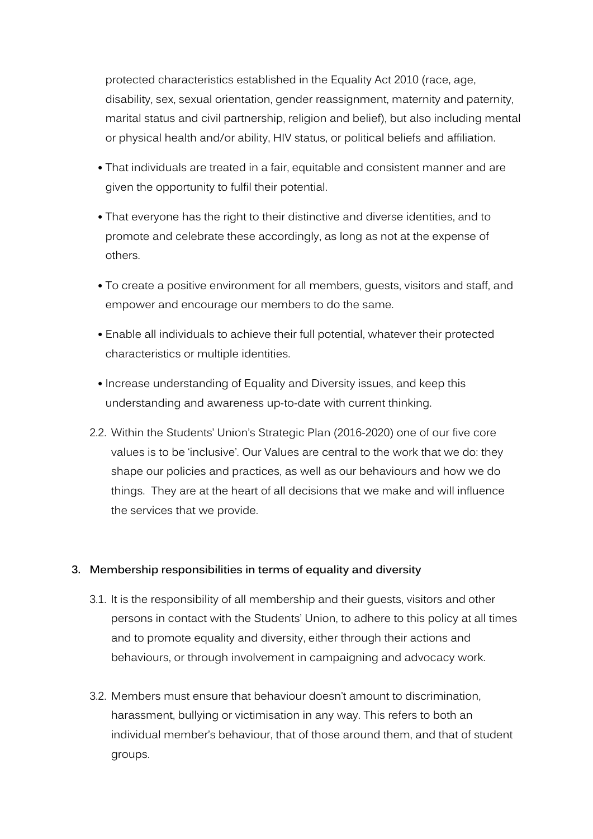protected characteristics established in the Equality Act 2010 (race, age, disability, sex, sexual orientation, gender reassignment, maternity and paternity, marital status and civil partnership, religion and belief), but also including mental or physical health and/or ability, HIV status, or political beliefs and affiliation.

- That individuals are treated in a fair, equitable and consistent manner and are given the opportunity to fulfil their potential.
- That everyone has the right to their distinctive and diverse identities, and to promote and celebrate these accordingly, as long as not at the expense of others.
- To create a positive environment for all members, guests, visitors and staff, and empower and encourage our members to do the same.
- Enable all individuals to achieve their full potential, whatever their protected characteristics or multiple identities.
- Increase understanding of Equality and Diversity issues, and keep this understanding and awareness up-to-date with current thinking.
- 2.2. Within the Students' Union's Strategic Plan (2016-2020) one of our five core values is to be 'inclusive'. Our Values are central to the work that we do: they shape our policies and practices, as well as our behaviours and how we do things. They are at the heart of all decisions that we make and will influence the services that we provide.

## **3. Membership responsibilities in terms of equality and diversity**

- 3.1. It is the responsibility of all membership and their guests, visitors and other persons in contact with the Students' Union, to adhere to this policy at all times and to promote equality and diversity, either through their actions and behaviours, or through involvement in campaigning and advocacy work.
- 3.2. Members must ensure that behaviour doesn't amount to discrimination, harassment, bullying or victimisation in any way. This refers to both an individual member's behaviour, that of those around them, and that of student groups.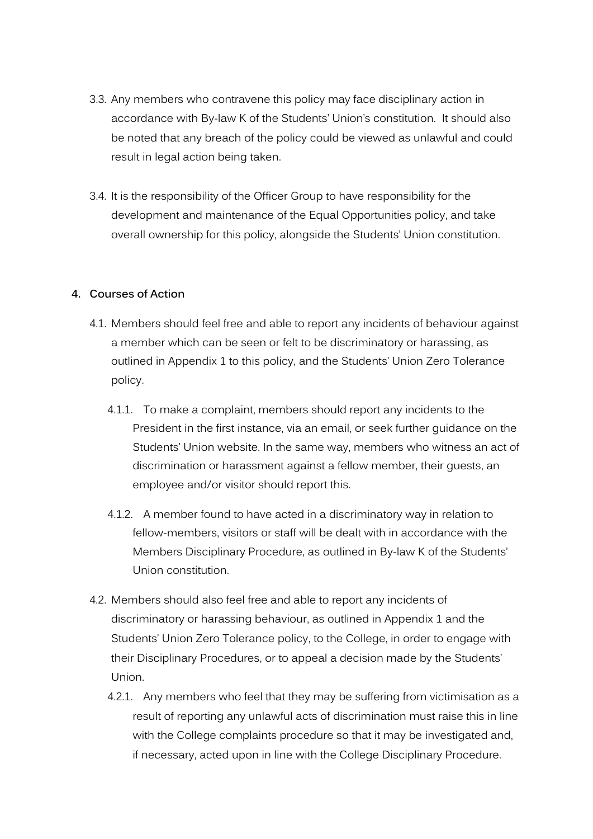- 3.3. Any members who contravene this policy may face disciplinary action in accordance with By-law K of the Students' Union's constitution. It should also be noted that any breach of the policy could be viewed as unlawful and could result in legal action being taken.
- 3.4. It is the responsibility of the Officer Group to have responsibility for the development and maintenance of the Equal Opportunities policy, and take overall ownership for this policy, alongside the Students' Union constitution.

#### **4. Courses of Action**

- 4.1. Members should feel free and able to report any incidents of behaviour against a member which can be seen or felt to be discriminatory or harassing, as outlined in Appendix 1 to this policy, and the Students' Union Zero Tolerance policy.
	- 4.1.1. To make a complaint, members should report any incidents to the President in the first instance, via an email, or seek further guidance on the Students' Union website. In the same way, members who witness an act of discrimination or harassment against a fellow member, their guests, an employee and/or visitor should report this.
	- 4.1.2. A member found to have acted in a discriminatory way in relation to fellow-members, visitors or staff will be dealt with in accordance with the Members Disciplinary Procedure, as outlined in By-law K of the Students' Union constitution.
- 4.2. Members should also feel free and able to report any incidents of discriminatory or harassing behaviour, as outlined in Appendix 1 and the Students' Union Zero Tolerance policy, to the College, in order to engage with their Disciplinary Procedures, or to appeal a decision made by the Students' Union.
	- 4.2.1. Any members who feel that they may be suffering from victimisation as a result of reporting any unlawful acts of discrimination must raise this in line with the College complaints procedure so that it may be investigated and, if necessary, acted upon in line with the College Disciplinary Procedure.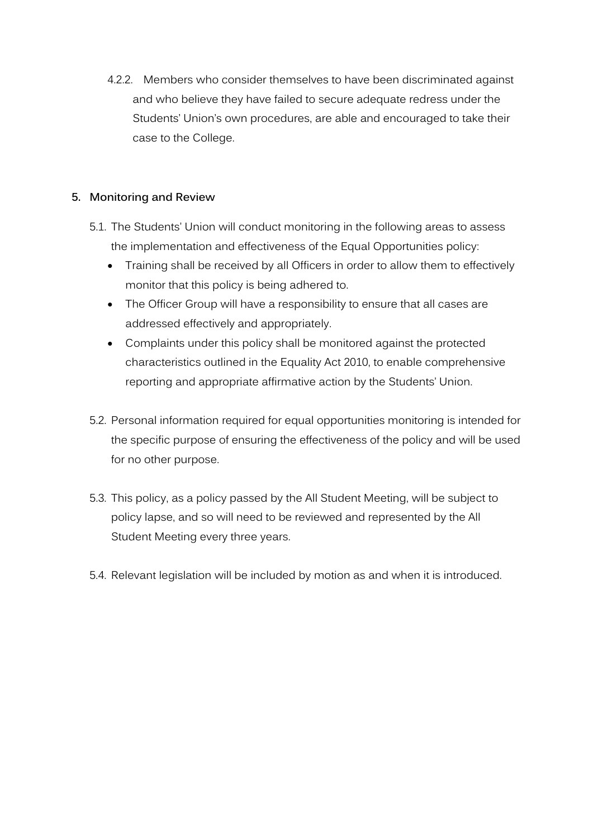4.2.2. Members who consider themselves to have been discriminated against and who believe they have failed to secure adequate redress under the Students' Union's own procedures, are able and encouraged to take their case to the College.

## **5. Monitoring and Review**

- 5.1. The Students' Union will conduct monitoring in the following areas to assess the implementation and effectiveness of the Equal Opportunities policy:
	- Training shall be received by all Officers in order to allow them to effectively monitor that this policy is being adhered to.
	- The Officer Group will have a responsibility to ensure that all cases are addressed effectively and appropriately.
	- Complaints under this policy shall be monitored against the protected characteristics outlined in the Equality Act 2010, to enable comprehensive reporting and appropriate affirmative action by the Students' Union.
- 5.2. Personal information required for equal opportunities monitoring is intended for the specific purpose of ensuring the effectiveness of the policy and will be used for no other purpose.
- 5.3. This policy, as a policy passed by the All Student Meeting, will be subject to policy lapse, and so will need to be reviewed and represented by the All Student Meeting every three years.
- 5.4. Relevant legislation will be included by motion as and when it is introduced.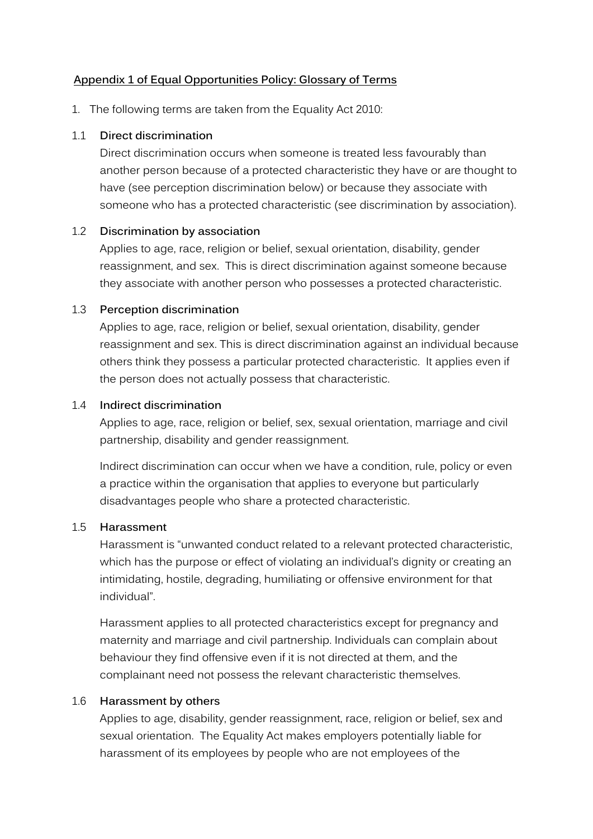## **Appendix 1 of Equal Opportunities Policy: Glossary of Terms**

1. The following terms are taken from the Equality Act 2010:

#### 1.1 **Direct discrimination**

Direct discrimination occurs when someone is treated less favourably than another person because of a protected characteristic they have or are thought to have (see perception discrimination below) or because they associate with someone who has a protected characteristic (see discrimination by association).

#### 1.2 **Discrimination by association**

Applies to age, race, religion or belief, sexual orientation, disability, gender reassignment, and sex. This is direct discrimination against someone because they associate with another person who possesses a protected characteristic.

#### 1.3 **Perception discrimination**

Applies to age, race, religion or belief, sexual orientation, disability, gender reassignment and sex. This is direct discrimination against an individual because others think they possess a particular protected characteristic. It applies even if the person does not actually possess that characteristic.

#### 1.4 **Indirect discrimination**

Applies to age, race, religion or belief, sex, sexual orientation, marriage and civil partnership, disability and gender reassignment.

Indirect discrimination can occur when we have a condition, rule, policy or even a practice within the organisation that applies to everyone but particularly disadvantages people who share a protected characteristic.

## 1.5 **Harassment**

Harassment is "unwanted conduct related to a relevant protected characteristic, which has the purpose or effect of violating an individual's dignity or creating an intimidating, hostile, degrading, humiliating or offensive environment for that individual".

Harassment applies to all protected characteristics except for pregnancy and maternity and marriage and civil partnership. Individuals can complain about behaviour they find offensive even if it is not directed at them, and the complainant need not possess the relevant characteristic themselves.

## 1.6 **Harassment by others**

Applies to age, disability, gender reassignment, race, religion or belief, sex and sexual orientation. The Equality Act makes employers potentially liable for harassment of its employees by people who are not employees of the